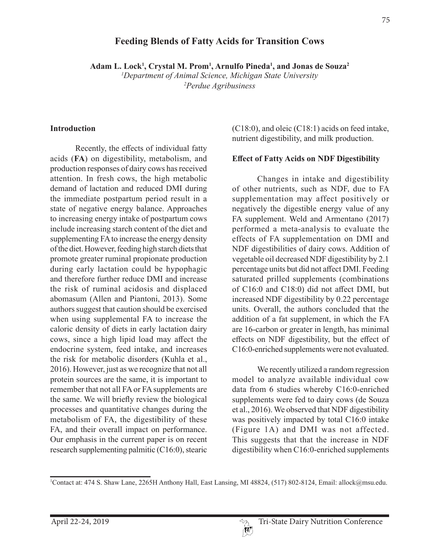### **Feeding Blends of Fatty Acids for Transition Cows**

**Adam L. Lock1 , Crystal M. Prom1 , Arnulfo Pineda1 , and Jonas de Souza2**

*1 Department of Animal Science, Michigan State University 2 Perdue Agribusiness*

#### **Introduction**

Recently, the effects of individual fatty acids (**FA**) on digestibility, metabolism, and production responses of dairy cows has received attention. In fresh cows, the high metabolic demand of lactation and reduced DMI during the immediate postpartum period result in a state of negative energy balance. Approaches to increasing energy intake of postpartum cows include increasing starch content of the diet and supplementing FA to increase the energy density of the diet. However, feeding high starch diets that promote greater ruminal propionate production during early lactation could be hypophagic and therefore further reduce DMI and increase the risk of ruminal acidosis and displaced abomasum (Allen and Piantoni, 2013). Some authors suggest that caution should be exercised when using supplemental FA to increase the caloric density of diets in early lactation dairy cows, since a high lipid load may affect the endocrine system, feed intake, and increases the risk for metabolic disorders (Kuhla et al., 2016). However, just as we recognize that not all protein sources are the same, it is important to remember that not all FA or FA supplements are the same. We will briefly review the biological processes and quantitative changes during the metabolism of FA, the digestibility of these FA, and their overall impact on performance. Our emphasis in the current paper is on recent research supplementing palmitic (C16:0), stearic

(C18:0), and oleic (C18:1) acids on feed intake, nutrient digestibility, and milk production.

#### **Effect of Fatty Acids on NDF Digestibility**

Changes in intake and digestibility of other nutrients, such as NDF, due to FA supplementation may affect positively or negatively the digestible energy value of any FA supplement. Weld and Armentano (2017) performed a meta-analysis to evaluate the effects of FA supplementation on DMI and NDF digestibilities of dairy cows. Addition of vegetable oil decreased NDF digestibility by 2.1 percentage units but did not affect DMI. Feeding saturated prilled supplements (combinations of C16:0 and C18:0) did not affect DMI, but increased NDF digestibility by 0.22 percentage units. Overall, the authors concluded that the addition of a fat supplement, in which the FA are 16-carbon or greater in length, has minimal effects on NDF digestibility, but the effect of C16:0-enriched supplements were not evaluated.

We recently utilized a random regression model to analyze available individual cow data from 6 studies whereby C16:0-enriched supplements were fed to dairy cows (de Souza et al., 2016). We observed that NDF digestibility was positively impacted by total C16:0 intake (Figure 1A) and DMI was not affected. This suggests that that the increase in NDF digestibility when C16:0-enriched supplements

<sup>1</sup> Contact at: 474 S. Shaw Lane, 2265H Anthony Hall, East Lansing, MI 48824, (517) 802-8124, Email: allock@msu.edu.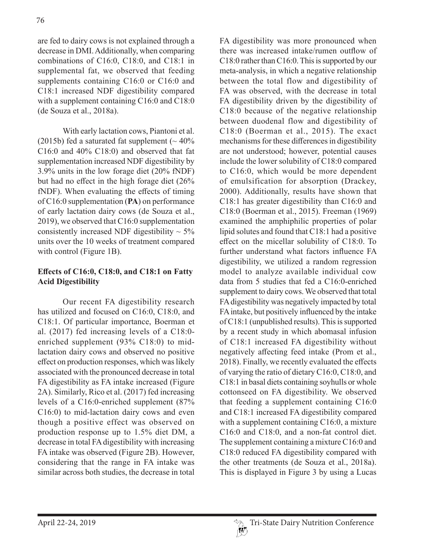are fed to dairy cows is not explained through a decrease in DMI. Additionally, when comparing combinations of C16:0, C18:0, and C18:1 in supplemental fat, we observed that feeding supplements containing C16:0 or C16:0 and C18:1 increased NDF digestibility compared with a supplement containing C16:0 and C18:0 (de Souza et al., 2018a).

With early lactation cows, Piantoni et al. (2015b) fed a saturated fat supplement  $($   $\sim$  40% C16:0 and 40% C18:0) and observed that fat supplementation increased NDF digestibility by 3.9% units in the low forage diet (20% fNDF) but had no effect in the high forage diet (26% fNDF). When evaluating the effects of timing of C16:0 supplementation (**PA**) on performance of early lactation dairy cows (de Souza et al., 2019), we observed that C16:0 supplementation consistently increased NDF digestibility  $\sim$  5% units over the 10 weeks of treatment compared with control (Figure 1B).

# **Effects of C16:0, C18:0, and C18:1 on Fatty Acid Digestibility**

Our recent FA digestibility research has utilized and focused on C16:0, C18:0, and C18:1. Of particular importance, Boerman et al. (2017) fed increasing levels of a C18:0 enriched supplement (93% C18:0) to midlactation dairy cows and observed no positive effect on production responses, which was likely associated with the pronounced decrease in total FA digestibility as FA intake increased (Figure 2A). Similarly, Rico et al. (2017) fed increasing levels of a C16:0-enriched supplement (87% C16:0) to mid-lactation dairy cows and even though a positive effect was observed on production response up to 1.5% diet DM, a decrease in total FA digestibility with increasing FA intake was observed (Figure 2B). However, considering that the range in FA intake was similar across both studies, the decrease in total

FA digestibility was more pronounced when there was increased intake/rumen outflow of C18:0 rather than C16:0. This is supported by our meta-analysis, in which a negative relationship between the total flow and digestibility of FA was observed, with the decrease in total FA digestibility driven by the digestibility of C18:0 because of the negative relationship between duodenal flow and digestibility of C18:0 (Boerman et al., 2015). The exact mechanisms for these differences in digestibility are not understood; however, potential causes include the lower solubility of C18:0 compared to C16:0, which would be more dependent of emulsification for absorption (Drackey, 2000). Additionally, results have shown that C18:1 has greater digestibility than C16:0 and C18:0 (Boerman et al., 2015). Freeman (1969) examined the amphiphilic properties of polar lipid solutes and found that C18:1 had a positive effect on the micellar solubility of C18:0. To further understand what factors influence FA digestibility, we utilized a random regression model to analyze available individual cow data from 5 studies that fed a C16:0-enriched supplement to dairy cows. We observed that total FA digestibility was negatively impacted by total FA intake, but positively influenced by the intake of C18:1 (unpublished results). This is supported by a recent study in which abomasal infusion of C18:1 increased FA digestibility without negatively affecting feed intake (Prom et al., 2018). Finally, we recently evaluated the effects of varying the ratio of dietary C16:0, C18:0, and C18:1 in basal diets containing soyhulls or whole cottonseed on FA digestibility. We observed that feeding a supplement containing C16:0 and C18:1 increased FA digestibility compared with a supplement containing C16:0, a mixture C16:0 and C18:0, and a non-fat control diet. The supplement containing a mixture C16:0 and C18:0 reduced FA digestibility compared with the other treatments (de Souza et al., 2018a). This is displayed in Figure 3 by using a Lucas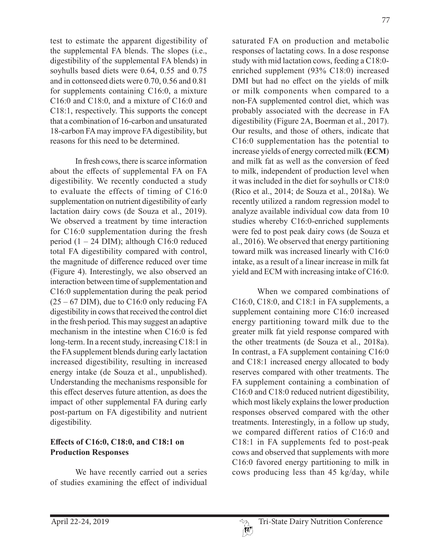test to estimate the apparent digestibility of the supplemental FA blends. The slopes (i.e., digestibility of the supplemental FA blends) in soyhulls based diets were 0.64, 0.55 and 0.75 and in cottonseed diets were 0.70, 0.56 and 0.81 for supplements containing C16:0, a mixture C16:0 and C18:0, and a mixture of C16:0 and C18:1, respectively. This supports the concept that a combination of 16-carbon and unsaturated 18-carbon FA may improve FA digestibility, but reasons for this need to be determined.

In fresh cows, there is scarce information about the effects of supplemental FA on FA digestibility. We recently conducted a study to evaluate the effects of timing of C16:0 supplementation on nutrient digestibility of early lactation dairy cows (de Souza et al., 2019). We observed a treatment by time interaction for C16:0 supplementation during the fresh period (1 – 24 DIM); although C16:0 reduced total FA digestibility compared with control, the magnitude of difference reduced over time (Figure 4). Interestingly, we also observed an interaction between time of supplementation and C16:0 supplementation during the peak period  $(25 – 67$  DIM), due to C16:0 only reducing FA digestibility in cows that received the control diet in the fresh period. This may suggest an adaptive mechanism in the intestine when C16:0 is fed long-term. In a recent study, increasing C18:1 in the FA supplement blends during early lactation increased digestibility, resulting in increased energy intake (de Souza et al., unpublished). Understanding the mechanisms responsible for this effect deserves future attention, as does the impact of other supplemental FA during early post-partum on FA digestibility and nutrient digestibility.

### **Effects of C16:0, C18:0, and C18:1 on Production Responses**

We have recently carried out a series of studies examining the effect of individual saturated FA on production and metabolic responses of lactating cows. In a dose response study with mid lactation cows, feeding a C18:0 enriched supplement (93% C18:0) increased DMI but had no effect on the yields of milk or milk components when compared to a non-FA supplemented control diet, which was probably associated with the decrease in FA digestibility (Figure 2A, Boerman et al., 2017). Our results, and those of others, indicate that C16:0 supplementation has the potential to increase yields of energy corrected milk (**ECM**) and milk fat as well as the conversion of feed to milk, independent of production level when it was included in the diet for soyhulls or C18:0 (Rico et al., 2014; de Souza et al., 2018a). We recently utilized a random regression model to analyze available individual cow data from 10 studies whereby C16:0-enriched supplements were fed to post peak dairy cows (de Souza et al., 2016). We observed that energy partitioning toward milk was increased linearly with C16:0 intake, as a result of a linear increase in milk fat yield and ECM with increasing intake of C16:0.

When we compared combinations of C16:0, C18:0, and C18:1 in FA supplements, a supplement containing more C16:0 increased energy partitioning toward milk due to the greater milk fat yield response compared with the other treatments (de Souza et al., 2018a). In contrast, a FA supplement containing C16:0 and C18:1 increased energy allocated to body reserves compared with other treatments. The FA supplement containing a combination of C16:0 and C18:0 reduced nutrient digestibility, which most likely explains the lower production responses observed compared with the other treatments. Interestingly, in a follow up study, we compared different ratios of C16:0 and C18:1 in FA supplements fed to post-peak cows and observed that supplements with more C16:0 favored energy partitioning to milk in cows producing less than 45 kg/day, while

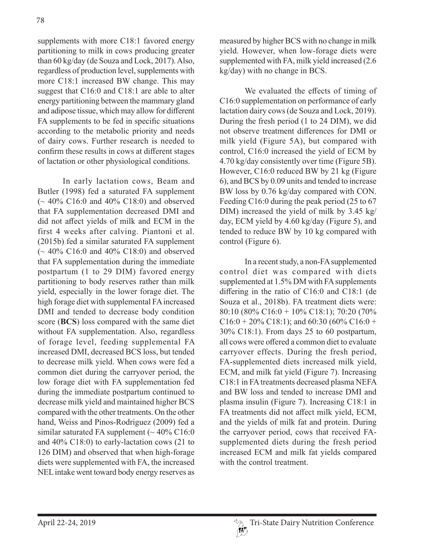supplements with more C18:1 favored energy partitioning to milk in cows producing greater than 60 kg/day (de Souza and Lock, 2017). Also, regardless of production level, supplements with more C18:1 increased BW change. This may suggest that C16:0 and C18:1 are able to alter energy partitioning between the mammary gland and adipose tissue, which may allow for different FA supplements to be fed in specific situations according to the metabolic priority and needs of dairy cows. Further research is needed to confirm these results in cows at different stages of lactation or other physiological conditions.

In early lactation cows, Beam and Butler (1998) fed a saturated FA supplement (~ 40% C16:0 and 40% C18:0) and observed that FA supplementation decreased DMI and did not affect yields of milk and ECM in the first 4 weeks after calving. Piantoni et al. (2015b) fed a similar saturated FA supplement  $\sim$  40% C16:0 and 40% C18:0) and observed that FA supplementation during the immediate postpartum (1 to 29 DIM) favored energy partitioning to body reserves rather than milk yield, especially in the lower forage diet. The high forage diet with supplemental FA increased DMI and tended to decrease body condition score (**BCS**) loss compared with the same diet without FA supplementation. Also, regardless of forage level, feeding supplemental FA increased DMI, decreased BCS loss, but tended to decrease milk yield. When cows were fed a common diet during the carryover period, the low forage diet with FA supplementation fed during the immediate postpartum continued to decrease milk yield and maintained higher BCS compared with the other treatments. On the other hand, Weiss and Pinos-Rodriguez (2009) fed a similar saturated FA supplement ( $\sim$  40% C16:0 and 40% C18:0) to early-lactation cows (21 to 126 DIM) and observed that when high-forage diets were supplemented with FA, the increased NEL intake went toward body energy reserves as

measured by higher BCS with no change in milk yield. However, when low-forage diets were supplemented with FA, milk yield increased (2.6 kg/day) with no change in BCS.

We evaluated the effects of timing of C16:0 supplementation on performance of early lactation dairy cows (de Souza and Lock, 2019). During the fresh period (1 to 24 DIM), we did not observe treatment differences for DMI or milk yield (Figure 5A), but compared with control, C16:0 increased the yield of ECM by 4.70 kg/day consistently over time (Figure 5B). However, C16:0 reduced BW by 21 kg (Figure 6), and BCS by 0.09 units and tended to increase BW loss by 0.76 kg/day compared with CON. Feeding C16:0 during the peak period (25 to 67 DIM) increased the yield of milk by 3.45 kg/ day, ECM yield by 4.60 kg/day (Figure 5), and tended to reduce BW by 10 kg compared with control (Figure 6).

In a recent study, a non-FA supplemented control diet was compared with diets supplemented at 1.5% DM with FA supplements differing in the ratio of C16:0 and C18:1 (de Souza et al., 2018b). FA treatment diets were: 80:10 (80% C16:0 + 10% C18:1); 70:20 (70% C16:0 + 20% C18:1); and 60:30 (60% C16:0 + 30% C18:1). From days 25 to 60 postpartum, all cows were offered a common diet to evaluate carryover effects. During the fresh period, FA-supplemented diets increased milk yield, ECM, and milk fat yield (Figure 7). Increasing C18:1 in FA treatments decreased plasma NEFA and BW loss and tended to increase DMI and plasma insulin (Figure 7). Increasing C18:1 in FA treatments did not affect milk yield, ECM, and the yields of milk fat and protein. During the carryover period, cows that received FAsupplemented diets during the fresh period increased ECM and milk fat yields compared with the control treatment.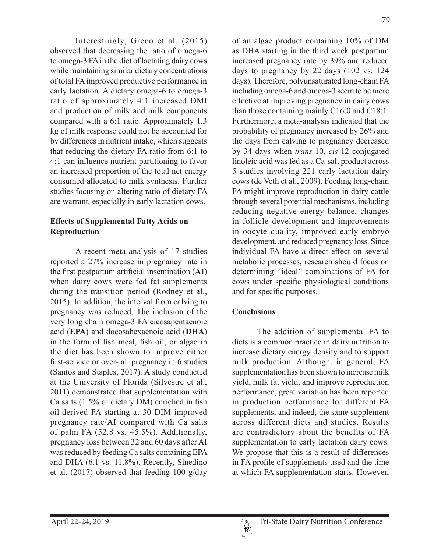79

Interestingly, Greco et al. (2015) observed that decreasing the ratio of omega-6 to omega-3 FA in the diet of lactating dairy cows while maintaining similar dietary concentrations of total FA improved productive performance in early lactation. A dietary omega-6 to omega-3 ratio of approximately 4:1 increased DMI and production of milk and milk components compared with a 6:1 ratio. Approximately 1.3 kg of milk response could not be accounted for by differences in nutrient intake, which suggests that reducing the dietary FA ratio from 6:1 to 4:1 can influence nutrient partitioning to favor an increased proportion of the total net energy consumed allocated to milk synthesis. Further studies focusing on altering ratio of dietary FA are warrant, especially in early lactation cows.

# **Effects of Supplemental Fatty Acids on Reproduction**

A recent meta-analysis of 17 studies reported a 27% increase in pregnancy rate in the first postpartum artificial insemination (**AI**) when dairy cows were fed fat supplements during the transition period (Rodney et al., 2015). In addition, the interval from calving to pregnancy was reduced. The inclusion of the very long chain omega-3 FA eicosapentaenoic acid (**EPA**) and docosahexaenoic acid (**DHA**) in the form of fish meal, fish oil, or algae in the diet has been shown to improve either first-service or over- all pregnancy in 6 studies (Santos and Staples, 2017). A study conducted at the University of Florida (Silvestre et al., 2011) demonstrated that supplementation with Ca salts (1.5% of dietary DM) enriched in fish oil-derived FA starting at 30 DIM improved pregnancy rate/AI compared with Ca salts of palm FA (52.8 vs. 45.5%). Additionally, pregnancy loss between 32 and 60 days after AI was reduced by feeding Ca salts containing EPA and DHA (6.1 vs. 11.8%). Recently, Sinedino et al. (2017) observed that feeding 100 g/day

of an algae product containing 10% of DM as DHA starting in the third week postpartum increased pregnancy rate by 39% and reduced days to pregnancy by 22 days (102 vs. 124 days). Therefore, polyunsaturated long-chain FA including omega-6 and omega-3 seem to be more effective at improving pregnancy in dairy cows than those containing mainly C16:0 and C18:1. Furthermore, a meta-analysis indicated that the probability of pregnancy increased by 26% and the days from calving to pregnancy decreased by 34 days when *trans*-10, *cis*-12 conjugated linoleic acid was fed as a Ca-salt product across 5 studies involving 221 early lactation dairy cows (de Veth et al., 2009). Feeding long-chain FA might improve reproduction in dairy cattle through several potential mechanisms, including reducing negative energy balance, changes in follicle development and improvements in oocyte quality, improved early embryo development, and reduced pregnancy loss. Since individual FA have a direct effect on several metabolic processes, research should focus on determining "ideal" combinations of FA for cows under specific physiological conditions and for specific purposes.

# **Conclusions**

The addition of supplemental FA to diets is a common practice in dairy nutrition to increase dietary energy density and to support milk production. Although, in general, FA supplementation has been shown to increase milk yield, milk fat yield, and improve reproduction performance, great variation has been reported in production performance for different FA supplements, and indeed, the same supplement across different diets and studies. Results are contradictory about the benefits of FA supplementation to early lactation dairy cows. We propose that this is a result of differences in FA profile of supplements used and the time at which FA supplementation starts. However,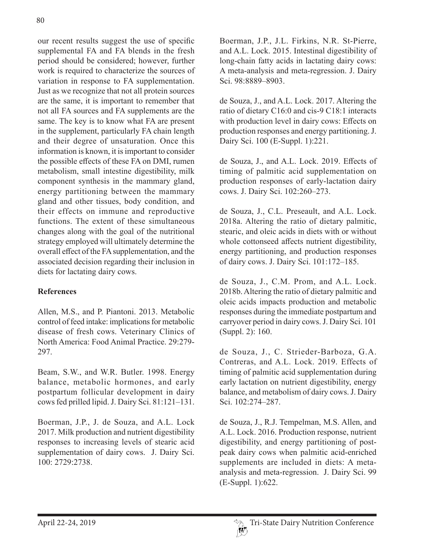our recent results suggest the use of specific supplemental FA and FA blends in the fresh period should be considered; however, further work is required to characterize the sources of variation in response to FA supplementation. Just as we recognize that not all protein sources are the same, it is important to remember that not all FA sources and FA supplements are the same. The key is to know what FA are present in the supplement, particularly FA chain length and their degree of unsaturation. Once this information is known, it is important to consider the possible effects of these FA on DMI, rumen metabolism, small intestine digestibility, milk component synthesis in the mammary gland, energy partitioning between the mammary gland and other tissues, body condition, and their effects on immune and reproductive functions. The extent of these simultaneous changes along with the goal of the nutritional strategy employed will ultimately determine the overall effect of the FA supplementation, and the associated decision regarding their inclusion in diets for lactating dairy cows.

# **References**

Allen, M.S., and P. Piantoni. 2013. Metabolic control of feed intake: implications for metabolic disease of fresh cows. Veterinary Clinics of North America: Food Animal Practice. 29:279- 297.

Beam, S.W., and W.R. Butler. 1998. Energy balance, metabolic hormones, and early postpartum follicular development in dairy cows fed prilled lipid. J. Dairy Sci. 81:121–131.

Boerman, J.P., J. de Souza, and A.L. Lock 2017. Milk production and nutrient digestibility responses to increasing levels of stearic acid supplementation of dairy cows. J. Dairy Sci. 100: 2729:2738.

Boerman, J.P., J.L. Firkins, N.R. St-Pierre, and A.L. Lock. 2015. Intestinal digestibility of long-chain fatty acids in lactating dairy cows: A meta-analysis and meta-regression. J. Dairy Sci. 98:8889–8903.

de Souza, J., and A.L. Lock. 2017. Altering the ratio of dietary C16:0 and cis-9 C18:1 interacts with production level in dairy cows: Effects on production responses and energy partitioning. J. Dairy Sci. 100 (E-Suppl. 1):221.

de Souza, J., and A.L. Lock. 2019. Effects of timing of palmitic acid supplementation on production responses of early-lactation dairy cows. J. Dairy Sci. 102:260–273.

de Souza, J., C.L. Preseault, and A.L. Lock. 2018a. Altering the ratio of dietary palmitic, stearic, and oleic acids in diets with or without whole cottonseed affects nutrient digestibility, energy partitioning, and production responses of dairy cows. J. Dairy Sci. 101:172–185.

de Souza, J., C.M. Prom, and A.L. Lock. 2018b. Altering the ratio of dietary palmitic and oleic acids impacts production and metabolic responses during the immediate postpartum and carryover period in dairy cows. J. Dairy Sci. 101 (Suppl. 2): 160.

de Souza, J., C. Strieder-Barboza, G.A. Contreras, and A.L. Lock. 2019. Effects of timing of palmitic acid supplementation during early lactation on nutrient digestibility, energy balance, and metabolism of dairy cows. J. Dairy Sci. 102:274–287.

de Souza, J., R.J. Tempelman, M.S. Allen, and A.L. Lock. 2016. Production response, nutrient digestibility, and energy partitioning of postpeak dairy cows when palmitic acid-enriched supplements are included in diets: A metaanalysis and meta-regression. J. Dairy Sci. 99 (E-Suppl. 1):622.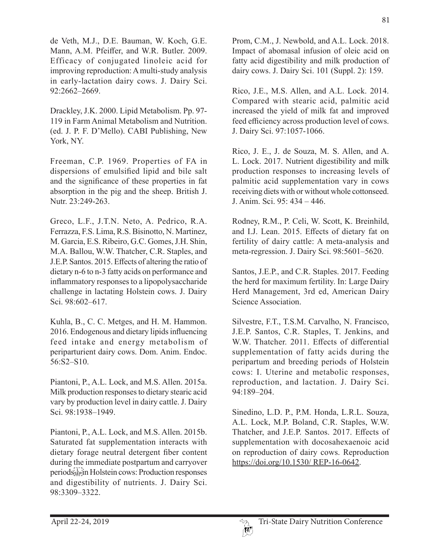de Veth, M.J., D.E. Bauman, W. Koch, G.E. Mann, A.M. Pfeiffer, and W.R. Butler. 2009. Efficacy of conjugated linoleic acid for improving reproduction: A multi-study analysis in early-lactation dairy cows. J. Dairy Sci. 92:2662–2669.

Drackley, J.K. 2000. Lipid Metabolism. Pp. 97- 119 in Farm Animal Metabolism and Nutrition. (ed. J. P. F. D'Mello). CABI Publishing, New York, NY.

Freeman, C.P. 1969. Properties of FA in dispersions of emulsified lipid and bile salt and the significance of these properties in fat absorption in the pig and the sheep. British J. Nutr. 23:249-263.

Greco, L.F., J.T.N. Neto, A. Pedrico, R.A. Ferrazza, F.S. Lima, R.S. Bisinotto, N. Martinez, M. Garcia, E.S. Ribeiro, G.C. Gomes, J.H. Shin, M.A. Ballou, W.W. Thatcher, C.R. Staples, and J.E.P. Santos. 2015. Effects of altering the ratio of dietary n-6 to n-3 fatty acids on performance and inflammatory responses to a lipopolysaccharide challenge in lactating Holstein cows. J. Dairy Sci. 98:602–617.

Kuhla, B., C. C. Metges, and H. M. Hammon. 2016. Endogenous and dietary lipids influencing feed intake and energy metabolism of periparturient dairy cows. Dom. Anim. Endoc. 56:S2–S10.

Piantoni, P., A.L. Lock, and M.S. Allen. 2015a. Milk production responses to dietary stearic acid vary by production level in dairy cattle. J. Dairy Sci. 98:1938–1949.

Piantoni, P., A.L. Lock, and M.S. Allen. 2015b. Saturated fat supplementation interacts with dietary forage neutral detergent fiber content during the immediate postpartum and carryover periods
in Holstein cows: Production responses and digestibility of nutrients. J. Dairy Sci. 98:3309–3322.

Prom, C.M., J. Newbold, and A.L. Lock. 2018. Impact of abomasal infusion of oleic acid on fatty acid digestibility and milk production of dairy cows. J. Dairy Sci. 101 (Suppl. 2): 159.

Rico, J.E., M.S. Allen, and A.L. Lock. 2014. Compared with stearic acid, palmitic acid increased the yield of milk fat and improved feed efficiency across production level of cows. J. Dairy Sci. 97:1057-1066.

Rico, J. E., J. de Souza, M. S. Allen, and A. L. Lock. 2017. Nutrient digestibility and milk production responses to increasing levels of palmitic acid supplementation vary in cows receiving diets with or without whole cottonseed. J. Anim. Sci. 95: 434 – 446.

Rodney, R.M., P. Celi, W. Scott, K. Breinhild, and I.J. Lean. 2015. Effects of dietary fat on fertility of dairy cattle: A meta-analysis and meta-regression. J. Dairy Sci. 98:5601–5620.

Santos, J.E.P., and C.R. Staples. 2017. Feeding the herd for maximum fertility. In: Large Dairy Herd Management, 3rd ed, American Dairy Science Association.

Silvestre, F.T., T.S.M. Carvalho, N. Francisco, J.E.P. Santos, C.R. Staples, T. Jenkins, and W.W. Thatcher. 2011. Effects of differential supplementation of fatty acids during the peripartum and breeding periods of Holstein cows: I. Uterine and metabolic responses, reproduction, and lactation. J. Dairy Sci. 94:189–204.

Sinedino, L.D. P., P.M. Honda, L.R.L. Souza, A.L. Lock, M.P. Boland, C.R. Staples, W.W. Thatcher, and J.E.P. Santos. 2017. Effects of supplementation with docosahexaenoic acid on reproduction of dairy cows. Reproduction https://doi.org/10.1530/ REP-16-0642.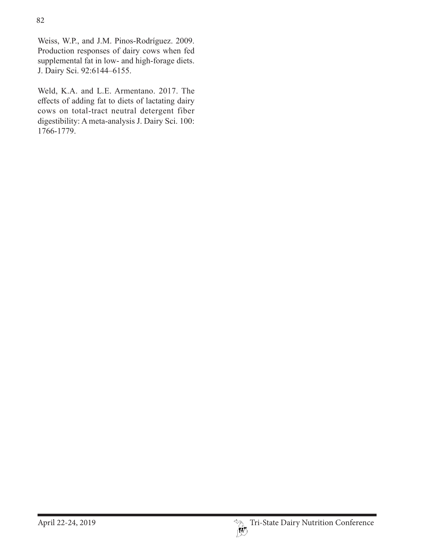Weiss, W.P., and J.M. Pinos-Rodríguez. 2009. Production responses of dairy cows when fed supplemental fat in low- and high-forage diets. J. Dairy Sci. 92:6144–6155.

Weld, K.A. and L.E. Armentano. 2017. The effects of adding fat to diets of lactating dairy cows on total-tract neutral detergent fiber digestibility: A meta-analysis J. Dairy Sci. 100: 1766-1779.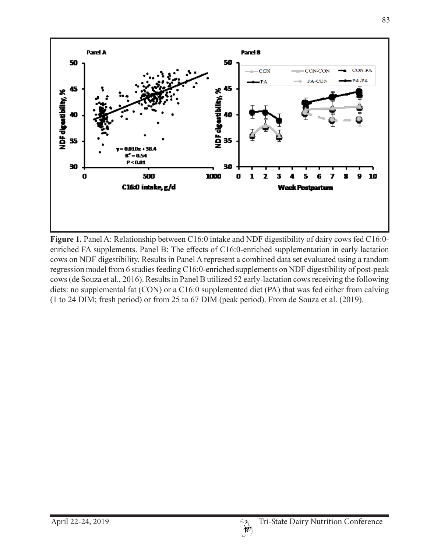

**Figure 1.** Panel A: Relationship between C16:0 intake and NDF digestibility of dairy cows fed C16:0 enriched FA supplements. Panel B: The effects of C16:0-enriched supplementation in early lactation cows on NDF digestibility. Results in Panel A represent a combined data set evaluated using a random regression model from 6 studies feeding C16:0-enriched supplements on NDF digestibility of post-peak cows (de Souza et al., 2016). Results in Panel B utilized 52 early-lactation cows receiving the following diets: no supplemental fat (CON) or a C16:0 supplemented diet (PA) that was fed either from calving (1 to 24 DIM; fresh period) or from 25 to 67 DIM (peak period). From de Souza et al. (2019).

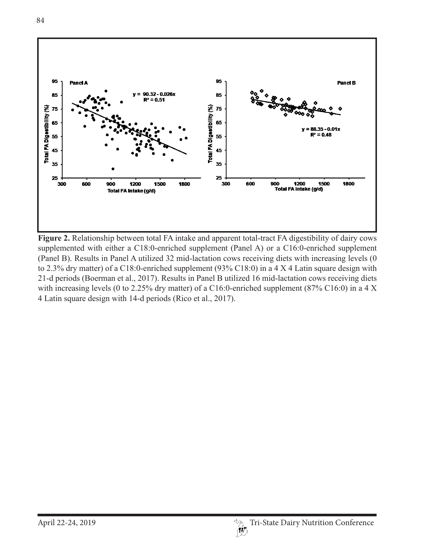

**Figure 2.** Relationship between total FA intake and apparent total-tract FA digestibility of dairy cows supplemented with either a C18:0-enriched supplement (Panel A) or a C16:0-enriched supplement (Panel B). Results in Panel A utilized 32 mid-lactation cows receiving diets with increasing levels (0 to 2.3% dry matter) of a C18:0-enriched supplement (93% C18:0) in a 4 X 4 Latin square design with 21-d periods (Boerman et al., 2017). Results in Panel B utilized 16 mid-lactation cows receiving diets with increasing levels (0 to 2.25% dry matter) of a C16:0-enriched supplement (87% C16:0) in a 4 X 4 Latin square design with 14-d periods (Rico et al., 2017).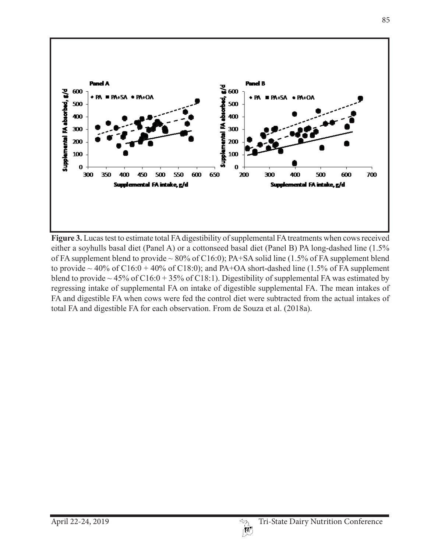

**Figure 3.** Lucas test to estimate total FA digestibility of supplemental FA treatments when cows received either a soyhulls basal diet (Panel A) or a cottonseed basal diet (Panel B) PA long-dashed line (1.5% of FA supplement blend to provide  $\sim 80\%$  of C16:0); PA+SA solid line (1.5% of FA supplement blend to provide  $\sim$  40% of C16:0 + 40% of C18:0); and PA+OA short-dashed line (1.5% of FA supplement blend to provide  $\sim$  45% of C16:0 + 35% of C18:1). Digestibility of supplemental FA was estimated by regressing intake of supplemental FA on intake of digestible supplemental FA. The mean intakes of FA and digestible FA when cows were fed the control diet were subtracted from the actual intakes of total FA and digestible FA for each observation. From de Souza et al. (2018a).

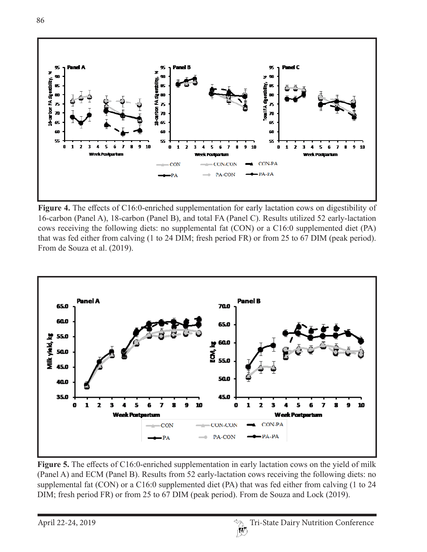

**Figure 4.** The effects of C16:0-enriched supplementation for early lactation cows on digestibility of 16-carbon (Panel A), 18-carbon (Panel B), and total FA (Panel C). Results utilized 52 early-lactation cows receiving the following diets: no supplemental fat (CON) or a C16:0 supplemented diet (PA) that was fed either from calving (1 to 24 DIM; fresh period FR) or from 25 to 67 DIM (peak period). From de Souza et al. (2019).



**Figure 5.** The effects of C16:0-enriched supplementation in early lactation cows on the yield of milk (Panel A) and ECM (Panel B). Results from 52 early-lactation cows receiving the following diets: no supplemental fat (CON) or a C16:0 supplemented diet (PA) that was fed either from calving (1 to 24 DIM; fresh period FR) or from 25 to 67 DIM (peak period). From de Souza and Lock (2019).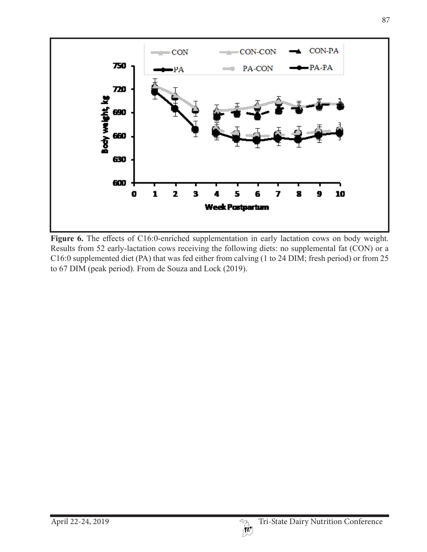

Figure 6. The effects of C16:0-enriched supplementation in early lactation cows on body weight. Results from 52 early-lactation cows receiving the following diets: no supplemental fat (CON) or a C16:0 supplemented diet (PA) that was fed either from calving (1 to 24 DIM; fresh period) or from 25 to 67 DIM (peak period). From de Souza and Lock (2019).